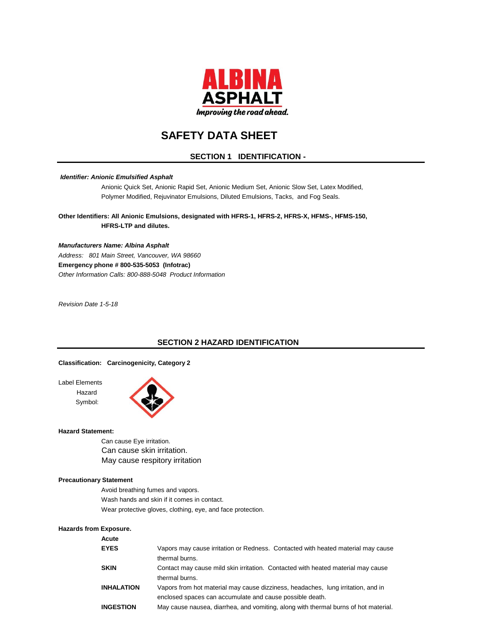

# **SAFETY DATA SHEET**

# **SECTION 1 IDENTIFICATION -**

#### *Identifier: Anionic Emulsified Asphalt*

Anionic Quick Set, Anionic Rapid Set, Anionic Medium Set, Anionic Slow Set, Latex Modified, Polymer Modified, Rejuvinator Emulsions, Diluted Emulsions, Tacks, and Fog Seals.

**Other Identifiers: All Anionic Emulsions, designated with HFRS-1, HFRS-2, HFRS-X, HFMS-, HFMS-150, HFRS-LTP and dilutes.**

*Manufacturers Name: Albina Asphalt Address: 801 Main Street, Vancouver, WA 98660* **Emergency phone # 800-535-5053 (Infotrac)** *Other Information Calls: 800-888-5048 Product Information*

*Revision Date 1-5-18*

# **SECTION 2 HAZARD IDENTIFICATION**

#### **Classification: Carcinogenicity, Category 2**

Label Elements Hazard Symbol:



#### **Hazard Statement:**

Can cause Eye irritation. Can cause skin irritation. May cause respitory irritation

#### **Precautionary Statement**

Avoid breathing fumes and vapors. Wash hands and skin if it comes in contact. Wear protective gloves, clothing, eye, and face protection.

#### **Hazards from Exposure.**

| Acute             |                                                                                     |
|-------------------|-------------------------------------------------------------------------------------|
| <b>EYES</b>       | Vapors may cause irritation or Redness. Contacted with heated material may cause    |
|                   | thermal burns.                                                                      |
| <b>SKIN</b>       | Contact may cause mild skin irritation. Contacted with heated material may cause    |
|                   | thermal burns.                                                                      |
| <b>INHALATION</b> | Vapors from hot material may cause dizziness, headaches, lung irritation, and in    |
|                   | enclosed spaces can accumulate and cause possible death.                            |
| <b>INGESTION</b>  | May cause nausea, diarrhea, and vomiting, along with thermal burns of hot material. |
|                   |                                                                                     |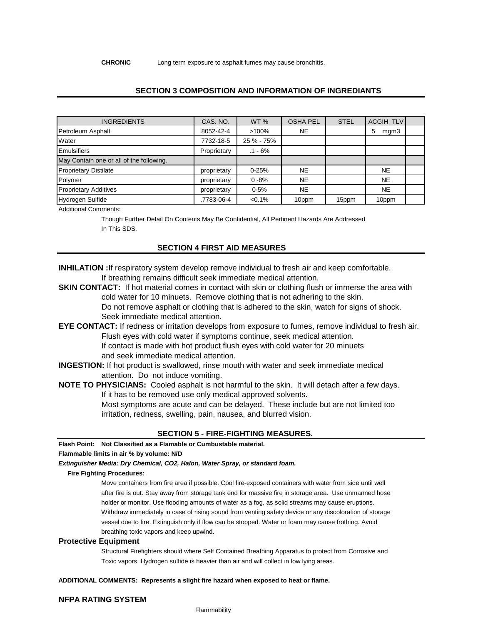**CHRONIC** Long term exposure to asphalt fumes may cause bronchitis.

# **SECTION 3 COMPOSITION AND INFORMATION OF INGREDIANTS**

| <b>INGREDIENTS</b>                       | CAS, NO.    | WT <sub>%</sub> | <b>OSHA PEL</b> | <b>STEL</b> | <b>ACGIH TLV</b> |  |
|------------------------------------------|-------------|-----------------|-----------------|-------------|------------------|--|
| Petroleum Asphalt                        | 8052-42-4   | $>100\%$        | <b>NE</b>       |             | mgm3<br>5        |  |
| Water                                    | 7732-18-5   | 25 % - 75%      |                 |             |                  |  |
| <b>Emulsifiers</b>                       | Proprietary | $.1 - 6%$       |                 |             |                  |  |
| May Contain one or all of the following. |             |                 |                 |             |                  |  |
| <b>Proprietary Distilate</b>             | proprietary | $0 - 25%$       | <b>NE</b>       |             | <b>NE</b>        |  |
| Polymer                                  | proprietary | $0 - 8%$        | <b>NE</b>       |             | <b>NE</b>        |  |
| <b>Proprietary Additives</b>             | proprietary | $0 - 5%$        | <b>NE</b>       |             | <b>NE</b>        |  |
| Hydrogen Sulfide                         | .7783-06-4  | $< 0.1\%$       | 10ppm           | 15ppm       | 10ppm            |  |

Additional Comments:

Though Further Detail On Contents May Be Confidential, All Pertinent Hazards Are Addressed In This SDS.

#### **SECTION 4 FIRST AID MEASURES**

**INHILATION :**If respiratory system develop remove individual to fresh air and keep comfortable. If breathing remains difficult seek immediate medical attention.

**SKIN CONTACT:** If hot material comes in contact with skin or clothing flush or immerse the area with cold water for 10 minuets. Remove clothing that is not adhering to the skin. Do not remove asphalt or clothing that is adhered to the skin, watch for signs of shock. Seek immediate medical attention.

**EYE CONTACT:** If redness or irritation develops from exposure to fumes, remove individual to fresh air. Flush eyes with cold water if symptoms continue, seek medical attention. If contact is made with hot product flush eyes with cold water for 20 minuets and seek immediate medical attention.

**INGESTION:** If hot product is swallowed, rinse mouth with water and seek immediate medical attention. Do not induce vomiting.

**NOTE TO PHYSICIANS:** Cooled asphalt is not harmful to the skin. It will detach after a few days. If it has to be removed use only medical approved solvents. Most symptoms are acute and can be delayed. These include but are not limited too irritation, redness, swelling, pain, nausea, and blurred vision.

#### **SECTION 5 - FIRE-FIGHTING MEASURES.**

**Flash Point: Not Classified as a Flamable or Cumbustable material.** 

#### **Flammable limits in air % by volume: N/D**

*Extinguisher Media: Dry Chemical, CO2, Halon, Water Spray, or standard foam.*

#### **Fire Fighting Procedures:**

Move containers from fire area if possible. Cool fire-exposed containers with water from side until well after fire is out. Stay away from storage tank end for massive fire in storage area. Use unmanned hose holder or monitor. Use flooding amounts of water as a fog, as solid streams may cause eruptions. Withdraw immediately in case of rising sound from venting safety device or any discoloration of storage vessel due to fire. Extinguish only if flow can be stopped. Water or foam may cause frothing. Avoid breathing toxic vapors and keep upwind.

#### **Protective Equipment**

Structural Firefighters should where Self Contained Breathing Apparatus to protect from Corrosive and Toxic vapors. Hydrogen sulfide is heavier than air and will collect in low lying areas.

**ADDITIONAL COMMENTS: Represents a slight fire hazard when exposed to heat or flame.**

#### **NFPA RATING SYSTEM**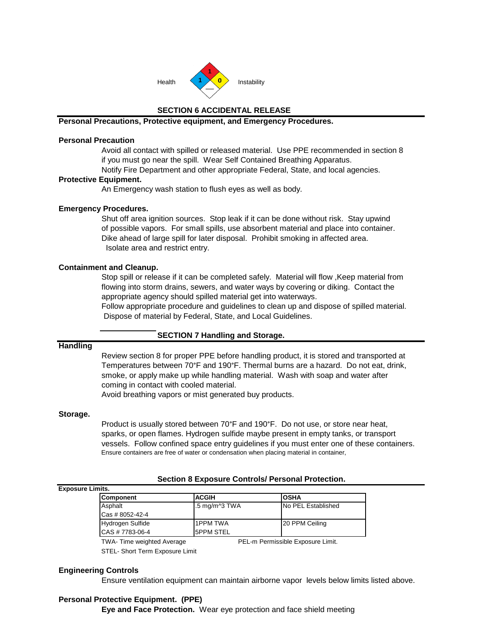

# **SECTION 6 ACCIDENTAL RELEASE**

# **Personal Precautions, Protective equipment, and Emergency Procedures.**

# **Personal Precaution**

Avoid all contact with spilled or released material. Use PPE recommended in section 8 if you must go near the spill. Wear Self Contained Breathing Apparatus.

Notify Fire Department and other appropriate Federal, State, and local agencies.

### **Protective Equipment.**

An Emergency wash station to flush eyes as well as body.

# **Emergency Procedures.**

Shut off area ignition sources. Stop leak if it can be done without risk. Stay upwind of possible vapors. For small spills, use absorbent material and place into container. Dike ahead of large spill for later disposal. Prohibit smoking in affected area. Isolate area and restrict entry.

# **Containment and Cleanup.**

Stop spill or release if it can be completed safely. Material will flow ,Keep material from flowing into storm drains, sewers, and water ways by covering or diking. Contact the appropriate agency should spilled material get into waterways.

Follow appropriate procedure and guidelines to clean up and dispose of spilled material. Dispose of material by Federal, State, and Local Guidelines.

# **SECTION 7 Handling and Storage.**

#### **Handling**

Review section 8 for proper PPE before handling product, it is stored and transported at Temperatures between 70°F and 190°F. Thermal burns are a hazard. Do not eat, drink, smoke, or apply make up while handling material. Wash with soap and water after coming in contact with cooled material. Avoid breathing vapors or mist generated buy products.

#### **Storage.**

Product is usually stored between 70°F and 190°F. Do not use, or store near heat, sparks, or open flames. Hydrogen sulfide maybe present in empty tanks, or transport vessels. Follow confined space entry guidelines if you must enter one of these containers. Ensure containers are free of water or condensation when placing material in container,

**Section 8 Exposure Controls/ Personal Protection.**

| <b>Exposure Limits.</b> |                  |                                    |                            |  |
|-------------------------|------------------|------------------------------------|----------------------------|--|
|                         | <b>Component</b> | <b>ACGIH</b>                       | IOSHA                      |  |
|                         | Asphalt          | $.5 \text{ mg/m}$ <sup>3</sup> TWA | <b>INo PEL Established</b> |  |
|                         | Cas # 8052-42-4  |                                    |                            |  |
|                         | Hydrogen Sulfide | <b>1PPM TWA</b>                    | 20 PPM Ceiling             |  |
|                         | CAS # 7783-06-4  | <b>ISPPM STEL</b>                  |                            |  |

TWA- Time weighted Average **PEL-m Permissible Exposure Limit.** 

STEL- Short Term Exposure Limit

### **Engineering Controls**

Ensure ventilation equipment can maintain airborne vapor levels below limits listed above.

# **Personal Protective Equipment. (PPE)**

**Eye and Face Protection.** Wear eye protection and face shield meeting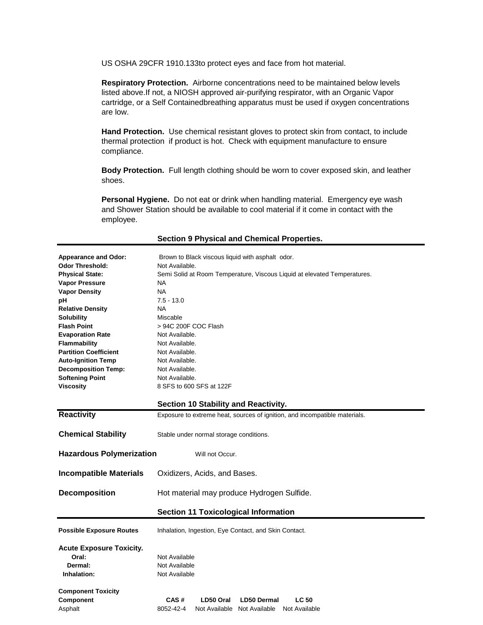US OSHA 29CFR 1910.133to protect eyes and face from hot material.

**Respiratory Protection.** Airborne concentrations need to be maintained below levels listed above.If not, a NIOSH approved air-purifying respirator, with an Organic Vapor cartridge, or a Self Containedbreathing apparatus must be used if oxygen concentrations are low.

**Hand Protection.** Use chemical resistant gloves to protect skin from contact, to include thermal protection if product is hot. Check with equipment manufacture to ensure compliance.

**Body Protection.** Full length clothing should be worn to cover exposed skin, and leather shoes.

**Personal Hygiene.** Do not eat or drink when handling material. Emergency eye wash and Shower Station should be available to cool material if it come in contact with the employee.

| <b>Appearance and Odor:</b>     | Brown to Black viscous liquid with asphalt odor.                           |  |  |  |  |
|---------------------------------|----------------------------------------------------------------------------|--|--|--|--|
| <b>Odor Threshold:</b>          | Not Available.                                                             |  |  |  |  |
| <b>Physical State:</b>          | Semi Solid at Room Temperature, Viscous Liquid at elevated Temperatures.   |  |  |  |  |
| <b>Vapor Pressure</b>           | NA.                                                                        |  |  |  |  |
| <b>Vapor Density</b>            | <b>NA</b>                                                                  |  |  |  |  |
| рH                              | $7.5 - 13.0$                                                               |  |  |  |  |
| <b>Relative Density</b>         | <b>NA</b>                                                                  |  |  |  |  |
| Solubility                      | Miscable                                                                   |  |  |  |  |
| <b>Flash Point</b>              | > 94C 200F COC Flash                                                       |  |  |  |  |
| <b>Evaporation Rate</b>         | Not Available.                                                             |  |  |  |  |
| Flammability                    | Not Available.                                                             |  |  |  |  |
| <b>Partition Coefficient</b>    | Not Available.                                                             |  |  |  |  |
| <b>Auto-Ignition Temp</b>       | Not Available.                                                             |  |  |  |  |
| <b>Decomposition Temp:</b>      | Not Available.                                                             |  |  |  |  |
| <b>Softening Point</b>          | Not Available.                                                             |  |  |  |  |
| <b>Viscosity</b>                | 8 SFS to 600 SFS at 122F                                                   |  |  |  |  |
|                                 |                                                                            |  |  |  |  |
|                                 | Section 10 Stability and Reactivity.                                       |  |  |  |  |
| <b>Reactivity</b>               | Exposure to extreme heat, sources of ignition, and incompatible materials. |  |  |  |  |
|                                 |                                                                            |  |  |  |  |
| <b>Chemical Stability</b>       | Stable under normal storage conditions.                                    |  |  |  |  |
|                                 |                                                                            |  |  |  |  |
| <b>Hazardous Polymerization</b> | Will not Occur.                                                            |  |  |  |  |
|                                 |                                                                            |  |  |  |  |
| <b>Incompatible Materials</b>   | Oxidizers, Acids, and Bases.                                               |  |  |  |  |
|                                 |                                                                            |  |  |  |  |
| <b>Decomposition</b>            | Hot material may produce Hydrogen Sulfide.                                 |  |  |  |  |
|                                 |                                                                            |  |  |  |  |
|                                 |                                                                            |  |  |  |  |
|                                 | <b>Section 11 Toxicological Information</b>                                |  |  |  |  |
| <b>Possible Exposure Routes</b> | Inhalation, Ingestion, Eye Contact, and Skin Contact.                      |  |  |  |  |
|                                 |                                                                            |  |  |  |  |
| <b>Acute Exposure Toxicity.</b> |                                                                            |  |  |  |  |
| Oral:                           | Not Available                                                              |  |  |  |  |
| Dermal:                         | Not Available                                                              |  |  |  |  |
| Inhalation:                     | Not Available                                                              |  |  |  |  |
|                                 |                                                                            |  |  |  |  |
| <b>Component Toxicity</b>       |                                                                            |  |  |  |  |
| Component                       | CAS#<br>LD50 Oral<br><b>LC 50</b><br><b>LD50 Dermal</b>                    |  |  |  |  |
| Asphalt                         | 8052-42-4<br>Not Available Not Available<br>Not Available                  |  |  |  |  |
|                                 |                                                                            |  |  |  |  |

### **Section 9 Physical and Chemical Properties.**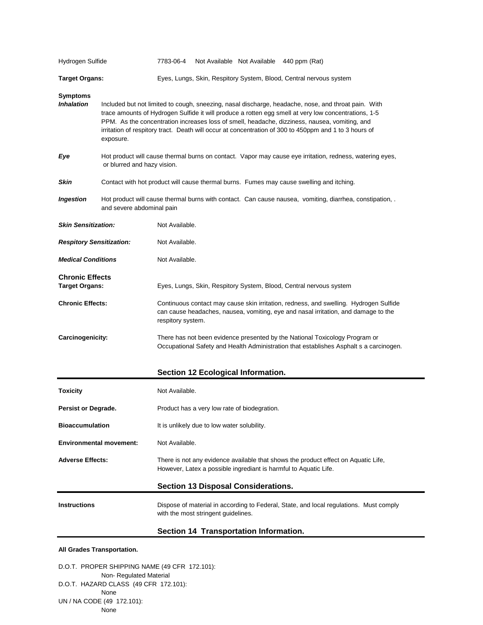| Hydrogen Sulfide                                |                                                                                                                                                                                                                                                                                                                                                                                                                                    | 7783-06-4                                                                                                                                                                                        |  |  | Not Available Not Available 440 ppm (Rat)                                                                                                                             |  |
|-------------------------------------------------|------------------------------------------------------------------------------------------------------------------------------------------------------------------------------------------------------------------------------------------------------------------------------------------------------------------------------------------------------------------------------------------------------------------------------------|--------------------------------------------------------------------------------------------------------------------------------------------------------------------------------------------------|--|--|-----------------------------------------------------------------------------------------------------------------------------------------------------------------------|--|
| <b>Target Organs:</b>                           |                                                                                                                                                                                                                                                                                                                                                                                                                                    |                                                                                                                                                                                                  |  |  | Eyes, Lungs, Skin, Respitory System, Blood, Central nervous system                                                                                                    |  |
| <b>Symptoms</b><br><b>Inhalation</b>            | Included but not limited to cough, sneezing, nasal discharge, headache, nose, and throat pain. With<br>trace amounts of Hydrogen Sulfide it will produce a rotten egg smell at very low concentrations, 1-5<br>PPM. As the concentration increases loss of smell, headache, dizziness, nausea, vomiting, and<br>irritation of respitory tract. Death will occur at concentration of 300 to 450ppm and 1 to 3 hours of<br>exposure. |                                                                                                                                                                                                  |  |  |                                                                                                                                                                       |  |
| Eye                                             | Hot product will cause thermal burns on contact. Vapor may cause eye irritation, redness, watering eyes,<br>or blurred and hazy vision.                                                                                                                                                                                                                                                                                            |                                                                                                                                                                                                  |  |  |                                                                                                                                                                       |  |
| <b>Skin</b>                                     | Contact with hot product will cause thermal burns. Fumes may cause swelling and itching.                                                                                                                                                                                                                                                                                                                                           |                                                                                                                                                                                                  |  |  |                                                                                                                                                                       |  |
| <b>Ingestion</b>                                | Hot product will cause thermal burns with contact. Can cause nausea, vomiting, diarrhea, constipation, .<br>and severe abdominal pain                                                                                                                                                                                                                                                                                              |                                                                                                                                                                                                  |  |  |                                                                                                                                                                       |  |
| <b>Skin Sensitization:</b>                      |                                                                                                                                                                                                                                                                                                                                                                                                                                    | Not Available.                                                                                                                                                                                   |  |  |                                                                                                                                                                       |  |
| <b>Respitory Sensitization:</b>                 |                                                                                                                                                                                                                                                                                                                                                                                                                                    | Not Available.                                                                                                                                                                                   |  |  |                                                                                                                                                                       |  |
| <b>Medical Conditions</b>                       |                                                                                                                                                                                                                                                                                                                                                                                                                                    | Not Available.                                                                                                                                                                                   |  |  |                                                                                                                                                                       |  |
| <b>Chronic Effects</b><br><b>Target Organs:</b> |                                                                                                                                                                                                                                                                                                                                                                                                                                    |                                                                                                                                                                                                  |  |  | Eyes, Lungs, Skin, Respitory System, Blood, Central nervous system                                                                                                    |  |
| <b>Chronic Effects:</b>                         |                                                                                                                                                                                                                                                                                                                                                                                                                                    | Continuous contact may cause skin irritation, redness, and swelling. Hydrogen Sulfide<br>can cause headaches, nausea, vomiting, eye and nasal irritation, and damage to the<br>respitory system. |  |  |                                                                                                                                                                       |  |
| Carcinogenicity:                                |                                                                                                                                                                                                                                                                                                                                                                                                                                    |                                                                                                                                                                                                  |  |  | There has not been evidence presented by the National Toxicology Program or<br>Occupational Safety and Health Administration that establishes Asphalt s a carcinogen. |  |

# **Section 12 Ecological Information.**

| <b>Toxicity</b>                | Not Available.                                                                                                                                         |  |  |
|--------------------------------|--------------------------------------------------------------------------------------------------------------------------------------------------------|--|--|
| <b>Persist or Degrade.</b>     | Product has a very low rate of biodegration.                                                                                                           |  |  |
| <b>Bioaccumulation</b>         | It is unlikely due to low water solubility.                                                                                                            |  |  |
| <b>Environmental movement:</b> | Not Available.                                                                                                                                         |  |  |
| <b>Adverse Effects:</b>        | There is not any evidence available that shows the product effect on Aquatic Life,<br>However, Latex a possible ingrediant is harmful to Aquatic Life. |  |  |
|                                | <b>Section 13 Disposal Considerations.</b>                                                                                                             |  |  |
| <b>Instructions</b>            | Dispose of material in according to Federal, State, and local regulations. Must comply<br>with the most stringent quidelines.                          |  |  |

# **Section 14 Transportation Information.**

### **All Grades Transportation.**

D.O.T. PROPER SHIPPING NAME (49 CFR 172.101): Non- Regulated Material D.O.T. HAZARD CLASS (49 CFR 172.101): None UN / NA CODE (49 172.101): None